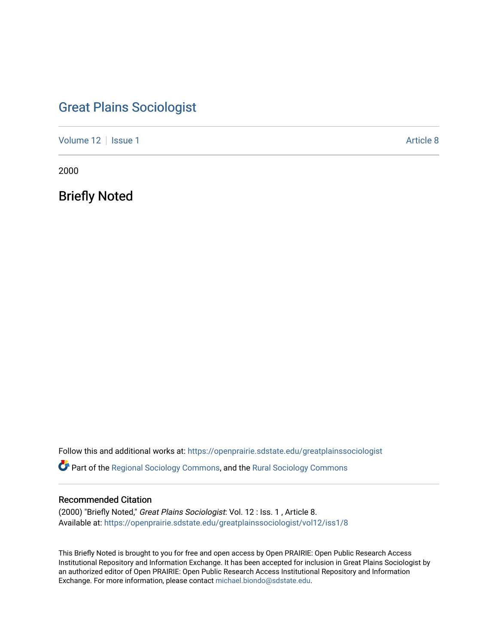## [Great Plains Sociologist](https://openprairie.sdstate.edu/greatplainssociologist)

[Volume 12](https://openprairie.sdstate.edu/greatplainssociologist/vol12) | [Issue 1](https://openprairie.sdstate.edu/greatplainssociologist/vol12/iss1) Article 8

2000

Briefly Noted

Follow this and additional works at: [https://openprairie.sdstate.edu/greatplainssociologist](https://openprairie.sdstate.edu/greatplainssociologist?utm_source=openprairie.sdstate.edu%2Fgreatplainssociologist%2Fvol12%2Fiss1%2F8&utm_medium=PDF&utm_campaign=PDFCoverPages) 

Part of the [Regional Sociology Commons](http://network.bepress.com/hgg/discipline/427?utm_source=openprairie.sdstate.edu%2Fgreatplainssociologist%2Fvol12%2Fiss1%2F8&utm_medium=PDF&utm_campaign=PDFCoverPages), and the [Rural Sociology Commons](http://network.bepress.com/hgg/discipline/428?utm_source=openprairie.sdstate.edu%2Fgreatplainssociologist%2Fvol12%2Fiss1%2F8&utm_medium=PDF&utm_campaign=PDFCoverPages) 

#### Recommended Citation

(2000) "Briefly Noted," Great Plains Sociologist: Vol. 12 : Iss. 1 , Article 8. Available at: [https://openprairie.sdstate.edu/greatplainssociologist/vol12/iss1/8](https://openprairie.sdstate.edu/greatplainssociologist/vol12/iss1/8?utm_source=openprairie.sdstate.edu%2Fgreatplainssociologist%2Fvol12%2Fiss1%2F8&utm_medium=PDF&utm_campaign=PDFCoverPages)

This Briefly Noted is brought to you for free and open access by Open PRAIRIE: Open Public Research Access Institutional Repository and Information Exchange. It has been accepted for inclusion in Great Plains Sociologist by an authorized editor of Open PRAIRIE: Open Public Research Access Institutional Repository and Information Exchange. For more information, please contact [michael.biondo@sdstate.edu.](mailto:michael.biondo@sdstate.edu)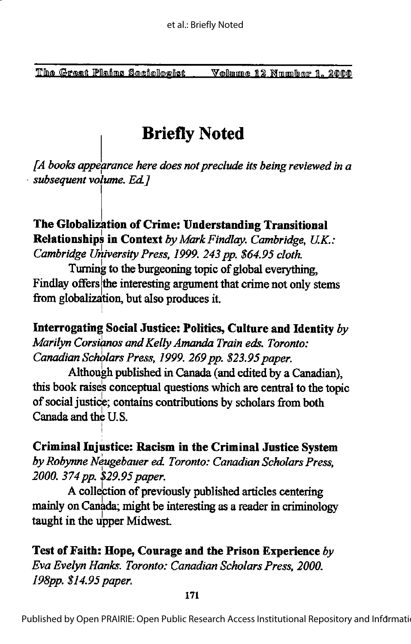# Briefly Noted

 $[A]$  books appearance here does not preclude its being reviewed in a subsequent volume. Ed.]

### The Globalization of Crime: Understanding Transitional Relationships in Context by Mark Findlay. Cambridge, U.K.: Cambridge University Press, 1999. 243 pp. \$64.95 cloth.

Turning to the burgeoning topic of global everything, Findlay offers the interesting argument that crime not only stems from globalization, but also produces it.

Interrogating Social Justice: Politics, Culture and Identity by Marilyn Corsianos and Kelly Amanda Train eds. Toronto: Canadian Scholars Press, 1999. 269 pp. \$23.95 paper.

Although published in Canada (and edited by a Canadian), this book raise's conceptual questions which are central to the topic of social justice; contains contributions by scholars from both Canada and the U.S.

Criminal Injustice: Racism in the Criminal Justice System by Robynne Neugebauer ed. Toronto: Canadian Scholars Press, 2000. 374 pp. \$29.95 paper.

A collection of previously published articles centering mainly on Canada; might be interesting as a reader in criminology taught in the upper Midwest.

Test of Faith: Hope, Courage and the Prison Experience by Eva Evelyn Hanks. Toronto: Canadian Scholars Press, 2000. 198pp. \$14.95 paper.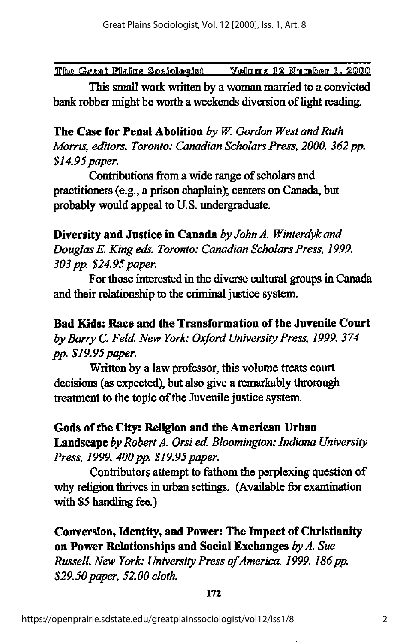This small work written by a woman married to a convicted bank robber might be worth a weekends diversion of light reading.

The Case for Penal Abolition by  $W$ . Gordon West and Ruth Morris, editors. Toronto: Canadian Scholars Press, 2000. 362 pp. \$14.95 paper.

Contributions from a wide range of scholars and practitioners (e.g., a prison chaplain); centers on Canada, but probably would appeal to U.S. undergraduate.

Diversity and Justice in Canada by John A. Winterdyk and Douglas E. King eds. Toronto: Canadian Scholars Press, 1999. 303 pp. \$24.95 paper.

For those interested in the diverse cultural groups in Canada and their relationship to the criminal justice system.

Bad Kids: Race and the Transformation of the Juvenile Court byBarry C. Feld New York: Oxford University Press, 1999. 374 pp. \$19.95 paper.

Written by a law professor, this volume treats court decisions (as expected), but also give a remarkably throrough treatment to the topic of the Juvenile justice system.

Gods of the City: Religion and the American Urban Landscape by Robert A. Orsi ed. Bloomington: Indiana University Press, 1999. 400 pp. \$19.95 paper.

Contributors attempt to fathom the perplexing question of why religion thrives in urban settings. (Available for examination with \$5 handling fee.)

Conversion, Identity, and Power: The Impact of Christianity on Power Relationships and Social Exchanges by A. Sue

Russell. New York: University Press of America, 1999. 186 pp. \$29.50 paper, 52.00 cloth.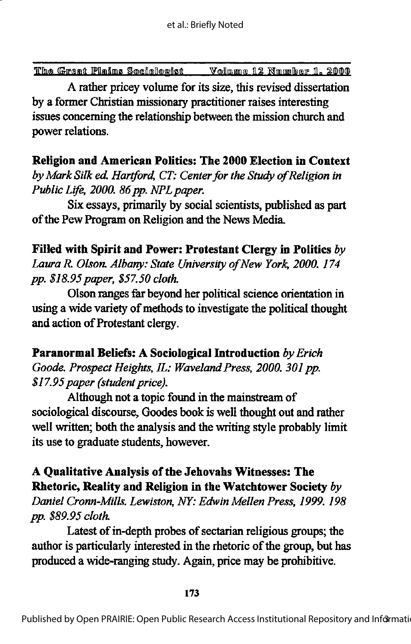A rather pricey volume for its size, this revised dissertation by a former Christian missionary practitioner raises interesting issues concerning the relationship between the mission church and power relations.

Religion and American Politics: The 2000 Election in Context by Mark Silk ed. Hartford, CT: Center for the Study of Religion in Public Life, 2000. 86 pp. NPL paper.

Six essays, primarily by social scientists, published as part of the Pew Program on Religion and the News Media.

Filled with Spirit and Power: Protestant Clergy in Politics  $by$ Laura R. Olson. Albany: State University of New York, 2000. 174 pp. \$18.95 paper, \$57.50 cloth.

Olson ranges far beyond her political science orientation in using a wide variety of methods to investigate the political thought and action of Protestant clergy.

Paranormal Beliefs: A Sociological Introduction by Erich Goode. Prospect Heights, IL: Waveland Press, 2000. 301 pp. \$17.95 paper (student price).

Although not a topic found in the mainstream of sociological discourse, Goodes book is well thought out and rather well written; both the analysis and the writing style probably limit its use to graduate students, however.

## A Qualitative Analysis ofthe Jehovahs Witnesses: The Rhetoric, Reality and Religion in the Watchtower Society by

Daniel Cronn-Mills. Lewiston, NY: Edwin Mellen Press, 1999. 198 pp. \$89.95 cloth

Latest of in-depth probes of sectarian religious groups; the author is particularly interested in the rhetoric of the group, but has produced a wide-ranging study. Again, price may be prohibitive.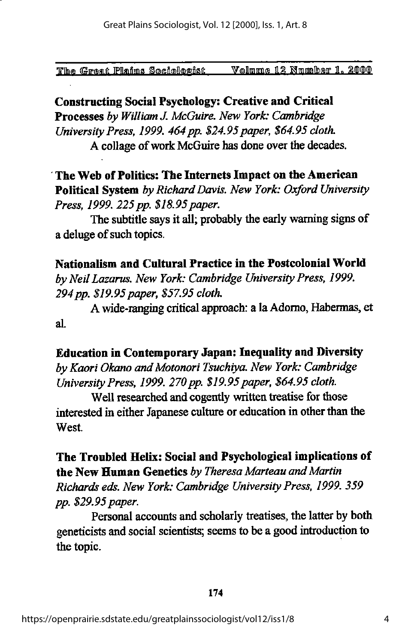Constructing Social Psychology: Creative and Critical Processes by William J. McGuire. New York: Cambridge University Press, 1999. 464 pp. \$24.95 paper, \$64.95 cloth. A collage of work McGuire has done over the decades.

The Web of Politics: The Internets Impact on the American Political System by Richard Davis. New York: Oxford University Press, 1999. 225 pp. \$18.95 paper.

The subtitle says it all; probably the early warning signs of a deluge of such topics.

Nationalism and Cultural Practice in the Postcolonial World by Neil Lazarus. New York: Cambridge University Press, 1999. 294 pp. \$19.95 paper, \$57.95 cloth.

A wide-ranging critical approach: a la Adorno, Habermas, et al.

#### Education in Contemporary Japan: Inequality and Diversity

by Kaori Okano and Motonori Tsuchiya. New York: Cambridge University Press, 1999. 270 pp. \$19.95 paper, \$64.95 cloth.

Well researched and cogently written treatise for those interested in either Japanese culture or education in other than the West.

The Troubled Helix: Social and Psychological implications of the New Human Genetics by Theresa Marteau and Martin Richards eds. New York: Cambridge University Press, 1999. 359 pp. \$29.95 paper.

Personal accounts and scholarly treatises, the latter by both geneticists and social scientists; seems to be a good introduction to the topic.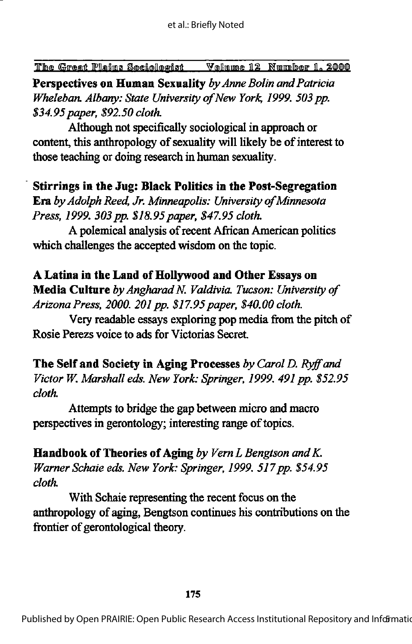Perspectives on Human Sexuality by Anne Bolin and Patricia Wheleban. Albany: State University of New York, 1999. 503 pp. \$34.95 paper, \$92.50 cloth.

Although not specifically sociological in approach or content, this anthropology of sexuality will likely be of interest to those teaching or doing research in human sexuality.

#### Stirrings in the Jug: Black Politics in the Post-Segregation

Era by Adolph Reed, Jr. Minneapolis: University of Minnesota Press, 1999. 303 pp. \$18.95 paper, \$47.95 cloth.

A polemical analysis ofrecent Afncan American politics which challenges the accepted wisdom on the topic.

#### A Latina in the Land of Hollywood and Other Essays on

Media Culture by Angharad N. Valdivia. Tucson: University of Arizona Press, 2000. 201 pp. \$17.95 paper, \$40.00 cloth.

Very readable essays exploring pop media from the pitch of Rosie Perezs voice to ads for Victorias Secret

The Self and Society in Aging Processes by Carol D. Ryff and Victor W. Marshall eds. New York: Springer, 1999. 491 pp. \$52.95 cloth.

Attempts to bridge the gap between micro and macro perspectives in gerontology; interesting range of topics.

**Handbook of Theories of Aging by Vern L Bengtson and K.** Warner Schaie eds. New York: Springer, 1999. 517 pp. \$54.95 cloth.

With Schaie representing the recent focus on the anthropology of aging, Bengtson continues his contributions on the frontier of gerontological theory.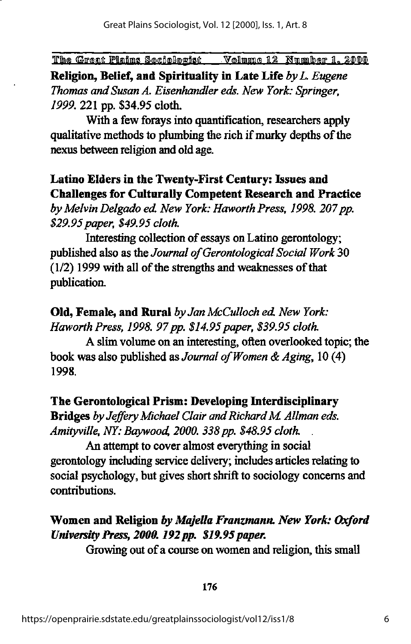Religion, Belief, and Spirituality in Late Life by L. Eugene Thomas and Susan A. Eisenhandler eds. New York: Springer, 1999, 221 pp. \$34.95 cloth.

With a few forays into quantification, researchers apply qualitative methods to plumbing the rich if murky depths of the nexus between religion and old age.

## Latino Elders in the Twenty-First Century: Issues and Challenges for Culturally Competent Research and Practice

by Melvin Delgado ed. New York: Haworth Press, 1998. 207 pp. \$29.95 paper, \$49.95 cloth.

Interesting collection of essays on Latino gerontology; published also as the Journal of Gerontological Social Work 30  $(1/2)$  1999 with all of the strengths and weaknesses of that publication.

Old, Female, and Rural by Jan McCulloch ed. New York: Haworth Press, 1998. 97 pp. \$14.95 paper, \$39.95 cloth.

A slim volume on an interesting, often overlooked topic; the book was also published as Journal of Women & Aging,  $10(4)$ 1998.

#### The Gerontological Prism: Developing Interdisciplinary

Bridges by Jeffery Michael Clair and Richard M. Allman eds. Amityville, NY: Baywood, 2000. 338 pp. \$48.95 cloth.

An attempt to cover almost everything in social gerontology including service delivery; includes articles relating to social psychology, but gives short shrift to sociology concerns and contributions.

### Women and Religion by Majella Franzmann. New York: Oxford University Press, 2000. 192 pp. \$19.95 paper.

Growing out of a course on women and religion, this small